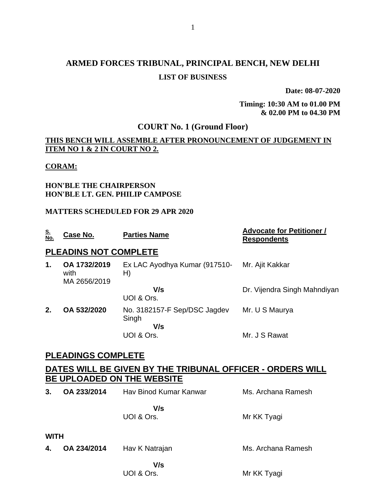# **ARMED FORCES TRIBUNAL, PRINCIPAL BENCH, NEW DELHI LIST OF BUSINESS**

**Date: 08-07-2020**

**Timing: 10:30 AM to 01.00 PM & 02.00 PM to 04.30 PM**

### **COURT No. 1 (Ground Floor)**

### **THIS BENCH WILL ASSEMBLE AFTER PRONOUNCEMENT OF JUDGEMENT IN ITEM NO 1 & 2 IN COURT NO 2.**

#### **CORAM:**

#### **HON'BLE THE CHAIRPERSON HON'BLE LT. GEN. PHILIP CAMPOSE**

#### **MATTERS SCHEDULED FOR 29 APR 2020**

| <b>Respondents</b>           |
|------------------------------|
|                              |
| Mr. Ajit Kakkar              |
| Dr. Vijendra Singh Mahndiyan |
| Mr. U S Maurya               |
| Mr. J S Rawat                |
|                              |

### **PLEADINGS COMPLETE**

### **DATES WILL BE GIVEN BY THE TRIBUNAL OFFICER - ORDERS WILL BE UPLOADED ON THE WEBSITE**

| 3.          | OA 233/2014 | Hav Binod Kumar Kanwar | Ms. Archana Ramesh |
|-------------|-------------|------------------------|--------------------|
|             |             | V/s<br>UOI & Ors.      | Mr KK Tyagi        |
| <b>WITH</b> |             |                        |                    |
| 4.          | OA 234/2014 | Hav K Natrajan         | Ms. Archana Ramesh |
|             |             | V/s<br>UOI & Ors.      | Mr KK Tyagi        |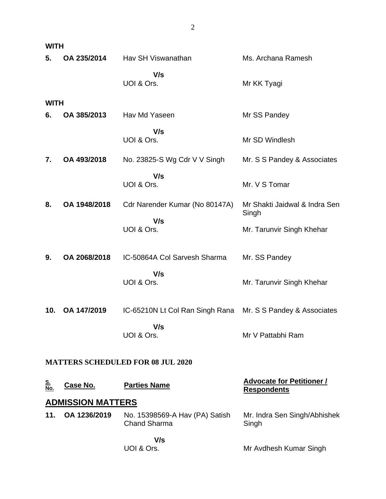| <b>WITH</b>       |                          |                                                       |                                                        |
|-------------------|--------------------------|-------------------------------------------------------|--------------------------------------------------------|
| 5.                | OA 235/2014              | Hav SH Viswanathan                                    | Ms. Archana Ramesh                                     |
|                   |                          | V/s<br>UOI & Ors.                                     | Mr KK Tyagi                                            |
| <b>WITH</b>       |                          |                                                       |                                                        |
| 6.                | OA 385/2013              | Hav Md Yaseen                                         | Mr SS Pandey                                           |
|                   |                          | V/s<br>UOI & Ors.                                     | Mr SD Windlesh                                         |
| 7.                | OA 493/2018              | No. 23825-S Wg Cdr V V Singh                          | Mr. S S Pandey & Associates                            |
|                   |                          | V/s<br>UOI & Ors.                                     | Mr. V S Tomar                                          |
| 8.                | OA 1948/2018             | Cdr Narender Kumar (No 80147A)                        | Mr Shakti Jaidwal & Indra Sen<br>Singh                 |
|                   |                          | V/s<br>UOI & Ors.                                     | Mr. Tarunvir Singh Khehar                              |
| 9.                | OA 2068/2018             | IC-50864A Col Sarvesh Sharma                          | Mr. SS Pandey                                          |
|                   |                          | V/s<br>UOI & Ors.                                     | Mr. Tarunvir Singh Khehar                              |
| 10.               | OA 147/2019              | IC-65210N Lt Col Ran Singh Rana                       | Mr. S S Pandey & Associates                            |
|                   |                          | V/s<br>UOI & Ors.                                     | Mr V Pattabhi Ram                                      |
|                   |                          | <b>MATTERS SCHEDULED FOR 08 JUL 2020</b>              |                                                        |
| <u>S.<br/>No.</u> | Case No.                 | <b>Parties Name</b>                                   | <b>Advocate for Petitioner /</b><br><b>Respondents</b> |
|                   | <b>ADMISSION MATTERS</b> |                                                       |                                                        |
| 11.               | OA 1236/2019             | No. 15398569-A Hav (PA) Satish<br><b>Chand Sharma</b> | Mr. Indra Sen Singh/Abhishek<br>Singh                  |
|                   |                          | V/s                                                   |                                                        |
|                   |                          | UOI & Ors.                                            | Mr Avdhesh Kumar Singh                                 |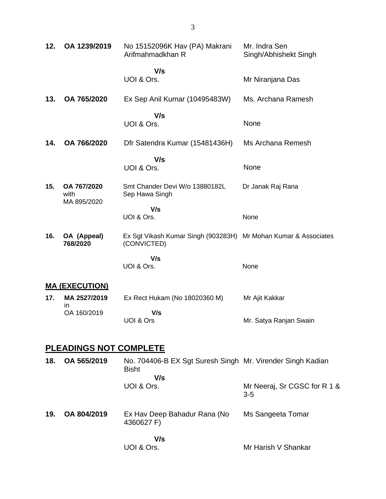| 12. | OA 1239/2019                       | No 15152096K Hav (PA) Makrani<br>Arifmahmadkhan R                              | Mr. Indra Sen<br>Singh/Abhishekt Singh |
|-----|------------------------------------|--------------------------------------------------------------------------------|----------------------------------------|
|     |                                    | V/s<br>UOI & Ors.                                                              | Mr Niranjana Das                       |
| 13. | OA 765/2020                        | Ex Sep Anil Kumar (10495483W)                                                  | Ms. Archana Ramesh                     |
|     |                                    | V/s<br>UOI & Ors.                                                              | None                                   |
| 14. | OA 766/2020                        | Dfr Satendra Kumar (15481436H)                                                 | Ms Archana Remesh                      |
|     |                                    | V/s<br>UOI & Ors.                                                              | None                                   |
| 15. | OA 767/2020<br>with<br>MA 895/2020 | Smt Chander Devi W/o 13880182L<br>Sep Hawa Singh                               | Dr Janak Raj Rana                      |
|     |                                    | V/s<br>UOI & Ors.                                                              | None                                   |
| 16. | OA (Appeal)<br>768/2020            | Ex Sgt Vikash Kumar Singh (903283H) Mr Mohan Kumar & Associates<br>(CONVICTED) |                                        |
|     |                                    | V/s<br>UOI & Ors.                                                              | None                                   |
|     | <u>MA (EXECUTION)</u>              |                                                                                |                                        |
| 17. | MA 2527/2019<br>in                 | Ex Rect Hukam (No 18020360 M)                                                  | Mr Ajit Kakkar                         |
|     | OA 160/2019                        | V/s<br>UOI & Ors                                                               | Mr. Satya Ranjan Swain                 |
|     | <u>PLEADINGS NOT COMPLETE</u>      |                                                                                |                                        |
| 18. | OA 565/2019                        | No. 704406-B EX Sgt Suresh Singh Mr. Virender Singh Kadian<br><b>Bisht</b>     |                                        |
|     |                                    | V/s<br>UOI & Ors.                                                              | Mr Neeraj, Sr CGSC for R 1 &<br>$3-5$  |
| 19. | OA 804/2019                        | Ex Hav Deep Bahadur Rana (No<br>4360627 F)                                     | Ms Sangeeta Tomar                      |

Mr Harish V Shankar

 **V/s** UOI & Ors.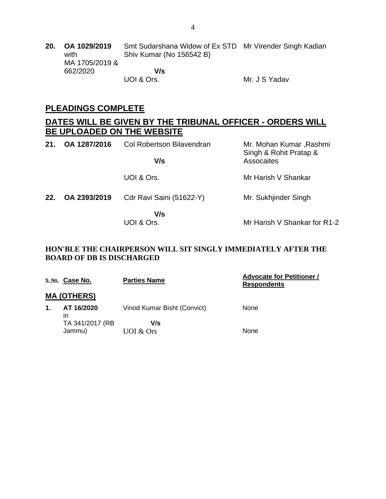**20. OA 1029/2019** with MA 1705/2019 & 662/2020 Smt Sudarshana Widow of Ex STD Mr Virender Singh Kadian Shiv Kumar (No 156542 B)  **V/s** UOI & Ors. Mr. J S Yadav

### **PLEADINGS COMPLETE**

### **DATES WILL BE GIVEN BY THE TRIBUNAL OFFICER - ORDERS WILL BE UPLOADED ON THE WEBSITE**

| 21. | OA 1287/2016 | <b>Col Robertson Bilavendran</b> | Mr. Mohan Kumar, Rashmi<br>Singh & Rohit Pratap & |
|-----|--------------|----------------------------------|---------------------------------------------------|
|     |              | V/s                              | Assocaites                                        |
|     |              | UOI & Ors.                       | Mr Harish V Shankar                               |
| 22. | OA 2393/2019 | Cdr Ravi Saini (51622-Y)         | Mr. Sukhjinder Singh                              |
|     |              | V/s<br>UOI & Ors.                | Mr Harish V Shankar for R1-2                      |

#### **HON'BLE THE CHAIRPERSON WILL SIT SINGLY IMMEDIATELY AFTER THE BOARD OF DB IS DISCHARGED**

|                | S. No. Case No.    | <b>Parties Name</b>         | <b>Advocate for Petitioner /</b><br><b>Respondents</b> |
|----------------|--------------------|-----------------------------|--------------------------------------------------------|
|                | <b>MA (OTHERS)</b> |                             |                                                        |
| $\mathbf{1}$ . | AT 16/2020<br>ın   | Vinod Kumar Bisht (Convict) | None                                                   |
|                | TA 341/2017 (RB    | V/s                         |                                                        |
|                | Jammu)             | UOI & Ors                   | None                                                   |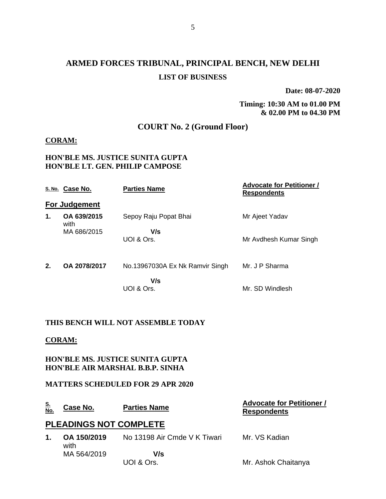# **ARMED FORCES TRIBUNAL, PRINCIPAL BENCH, NEW DELHI LIST OF BUSINESS**

**Date: 08-07-2020**

**Timing: 10:30 AM to 01.00 PM & 02.00 PM to 04.30 PM**

**Respondents**

### **COURT No. 2 (Ground Floor)**

#### **CORAM:**

#### **HON'BLE MS. JUSTICE SUNITA GUPTA HON'BLE LT. GEN. PHILIP CAMPOSE**

|    | S. No. Case No.      | <b>Parties Name</b>             | <b>Advocate for Petitioner /</b><br><b>Respondents</b> |
|----|----------------------|---------------------------------|--------------------------------------------------------|
|    | <b>For Judgement</b> |                                 |                                                        |
| 1. | OA 639/2015<br>with  | Sepoy Raju Popat Bhai           | Mr Ajeet Yadav                                         |
|    | MA 686/2015          | V/s                             |                                                        |
|    |                      | UOI & Ors.                      | Mr Avdhesh Kumar Singh                                 |
| 2. | OA 2078/2017         | No.13967030A Ex Nk Ramvir Singh | Mr. J P Sharma                                         |
|    |                      | V/s                             |                                                        |
|    |                      | UOI & Ors.                      | Mr. SD Windlesh                                        |
|    |                      |                                 |                                                        |

#### **THIS BENCH WILL NOT ASSEMBLE TODAY**

#### **CORAM:**

**HON'BLE MS. JUSTICE SUNITA GUPTA HON'BLE AIR MARSHAL B.B.P. SINHA**

#### **MATTERS SCHEDULED FOR 29 APR 2020**

#### **S. No. Case No. Parties Name Advocate for Petitioner /**

### **PLEADINGS NOT COMPLETE**

| 1. OA 150/2019<br>with | No 13198 Air Cmde V K Tiwari | Mr. VS Kadian       |
|------------------------|------------------------------|---------------------|
| MA 564/2019            | V/s                          |                     |
|                        | UOI & Ors.                   | Mr. Ashok Chaitanya |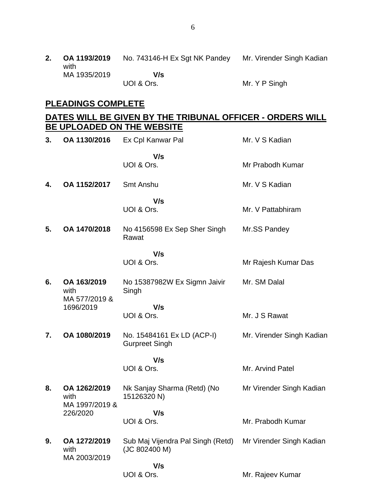**2. OA 1193/2019** with MA 1935/2019 No. 743146-H Ex Sgt NK Pandey Mr. Virender Singh Kadian  **V/s** UOI & Ors. Mr. Y P Singh

#### **PLEADINGS COMPLETE**

### **DATES WILL BE GIVEN BY THE TRIBUNAL OFFICER - ORDERS WILL BE UPLOADED ON THE WEBSITE**

| 3. | OA 1130/2016                           | Ex Cpl Kanwar Pal                                   | Mr. V S Kadian            |
|----|----------------------------------------|-----------------------------------------------------|---------------------------|
|    |                                        | V/s<br>UOI & Ors.                                   | Mr Prabodh Kumar          |
| 4. | OA 1152/2017                           | <b>Smt Anshu</b>                                    | Mr. V S Kadian            |
|    |                                        | V/s<br>UOI & Ors.                                   | Mr. V Pattabhiram         |
| 5. | OA 1470/2018                           | No 4156598 Ex Sep Sher Singh<br>Rawat               | Mr.SS Pandey              |
|    |                                        | V/s<br>UOI & Ors.                                   | Mr Rajesh Kumar Das       |
| 6. | OA 163/2019<br>with<br>MA 577/2019 &   | No 15387982W Ex Sigmn Jaivir<br>Singh               | Mr. SM Dalal              |
|    | 1696/2019                              | V/s<br>UOI & Ors.                                   | Mr. J S Rawat             |
| 7. | OA 1080/2019                           | No. 15484161 Ex LD (ACP-I)<br><b>Gurpreet Singh</b> | Mr. Virender Singh Kadian |
|    |                                        | V/s<br>UOI & Ors.                                   | Mr. Arvind Patel          |
| 8. | OA 1262/2019<br>with<br>MA 1997/2019 & | Nk Sanjay Sharma (Retd) (No<br>15126320 N)          | Mr Virender Singh Kadian  |
|    | 226/2020                               | V/s<br>UOI & Ors.                                   | Mr. Prabodh Kumar         |
| 9. | OA 1272/2019<br>with<br>MA 2003/2019   | Sub Maj Vijendra Pal Singh (Retd)<br>(JC 802400 M)  | Mr Virender Singh Kadian  |
|    |                                        | V/s<br>UOI & Ors.                                   | Mr. Rajeev Kumar          |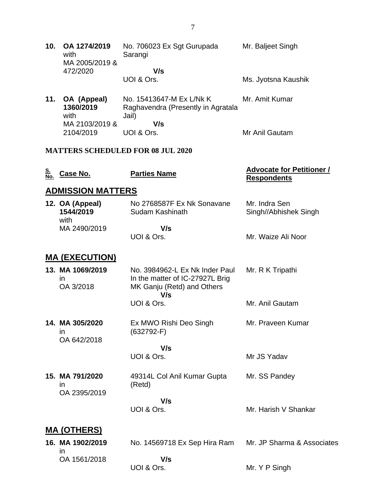| 10. | OA 1274/2019<br>with<br>MA 2005/2019 & | No. 706023 Ex Sgt Gurupada<br>Sarangi | Mr. Baljeet Singh   |
|-----|----------------------------------------|---------------------------------------|---------------------|
|     | 472/2020                               | V/s                                   |                     |
|     |                                        | UOI & Ors.                            | Ms. Jyotsna Kaushik |

**11. OA (Appeal) 1360/2019** with MA 2103/2019 & 2104/2019 No. 15413647-M Ex L/Nk K Raghavendra (Presently in Agratala Jail)  **V/s** UOI & Ors. Mr. Amit Kumar Mr Anil Gautam

### **MATTERS SCHEDULED FOR 08 JUL 2020**

| <u>S.</u><br>No. | Case No.                              | <b>Parties Name</b>                                                                                    | <u><b>Advocate for Petitioner /</b></u><br><b>Respondents</b> |
|------------------|---------------------------------------|--------------------------------------------------------------------------------------------------------|---------------------------------------------------------------|
|                  | <b>ADMISSION MATTERS</b>              |                                                                                                        |                                                               |
|                  | 12. OA (Appeal)<br>1544/2019<br>with  | No 2768587F Ex Nk Sonavane<br>Sudam Kashinath                                                          | Mr. Indra Sen<br>Singh//Abhishek Singh                        |
|                  | MA 2490/2019                          | V/s                                                                                                    |                                                               |
|                  |                                       | UOI & Ors.                                                                                             | Mr. Waize Ali Noor                                            |
|                  | <b>MA (EXECUTION)</b>                 |                                                                                                        |                                                               |
|                  | 13. MA 1069/2019<br>in.<br>OA 3/2018  | No. 3984962-L Ex Nk Inder Paul<br>In the matter of IC-27927L Brig<br>MK Ganju (Retd) and Others<br>V/s | Mr. R K Tripathi                                              |
|                  |                                       | UOI & Ors.                                                                                             | Mr. Anil Gautam                                               |
|                  | 14. MA 305/2020<br>in.<br>OA 642/2018 | Ex MWO Rishi Deo Singh<br>$(632792-F)$                                                                 | Mr. Praveen Kumar                                             |
|                  |                                       | V/s                                                                                                    |                                                               |
|                  |                                       | UOI & Ors.                                                                                             | Mr JS Yadav                                                   |
|                  | 15. MA 791/2020<br>ın<br>OA 2395/2019 | 49314L Col Anil Kumar Gupta<br>(Retd)                                                                  | Mr. SS Pandey                                                 |
|                  |                                       | V/s<br>UOI & Ors.                                                                                      | Mr. Harish V Shankar                                          |
|                  | <u>MA (OTHERS)</u>                    |                                                                                                        |                                                               |
|                  | 16. MA 1902/2019<br>in                | No. 14569718 Ex Sep Hira Ram                                                                           | Mr. JP Sharma & Associates                                    |
|                  | OA 1561/2018                          | V/s                                                                                                    |                                                               |
|                  |                                       | UOI & Ors.                                                                                             | Mr. Y P Singh                                                 |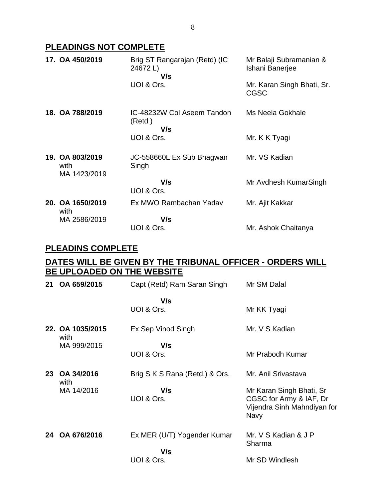# **PLEADINGS NOT COMPLETE**

| 17. OA 450/2019                         | Brig ST Rangarajan (Retd) (IC<br>24672L)<br>V/s | Mr Balaji Subramanian &<br>Ishani Banerjee |
|-----------------------------------------|-------------------------------------------------|--------------------------------------------|
|                                         | UOI & Ors.                                      | Mr. Karan Singh Bhati, Sr.<br><b>CGSC</b>  |
| 18. OA 788/2019                         | IC-48232W Col Aseem Tandon<br>(Retd)<br>V/s     | Ms Neela Gokhale                           |
|                                         | UOI & Ors.                                      | Mr. K K Tyagi                              |
| 19. OA 803/2019<br>with<br>MA 1423/2019 | JC-558660L Ex Sub Bhagwan<br>Singh              | Mr. VS Kadian                              |
|                                         | V/s<br>UOI & Ors.                               | Mr Avdhesh KumarSingh                      |
| 20. OA 1650/2019<br>with                | Ex MWO Rambachan Yadav                          | Mr. Ajit Kakkar                            |
| MA 2586/2019                            | V/s                                             |                                            |
|                                         | UOI & Ors.                                      | Mr. Ashok Chaitanya                        |

### **PLEADINS COMPLETE**

## **DATES WILL BE GIVEN BY THE TRIBUNAL OFFICER - ORDERS WILL BE UPLOADED ON THE WEBSITE**

| 21 | OA 659/2015              | Capt (Retd) Ram Saran Singh        | Mr SM Dalal                                                                                |
|----|--------------------------|------------------------------------|--------------------------------------------------------------------------------------------|
|    |                          | V/s<br>UOI & Ors.                  | Mr KK Tyagi                                                                                |
|    | 22. OA 1035/2015<br>with | Ex Sep Vinod Singh                 | Mr. V S Kadian                                                                             |
|    | MA 999/2015              | V/s<br>UOI & Ors.                  | Mr Prabodh Kumar                                                                           |
| 23 | OA 34/2016<br>with       | Brig S K S Rana (Retd.) & Ors.     | Mr. Anil Srivastava                                                                        |
|    | MA 14/2016               | V/s<br>UOI & Ors.                  | Mr Karan Singh Bhati, Sr<br>CGSC for Army & IAF, Dr<br>Vijendra Sinh Mahndiyan for<br>Navy |
| 24 | OA 676/2016              | Ex MER (U/T) Yogender Kumar<br>V/s | Mr. V S Kadian & J P<br>Sharma                                                             |
|    |                          | UOI & Ors.                         | Mr SD Windlesh                                                                             |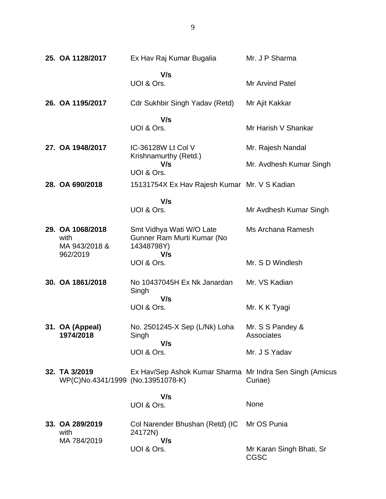| 25. OA 1128/2017                                   | Ex Hav Raj Kumar Bugalia                                             | Mr. J P Sharma                 |
|----------------------------------------------------|----------------------------------------------------------------------|--------------------------------|
|                                                    | V/s<br>UOI & Ors.                                                    | <b>Mr Arvind Patel</b>         |
| 26. OA 1195/2017                                   | Cdr Sukhbir Singh Yadav (Retd)                                       | Mr Ajit Kakkar                 |
|                                                    | V/s<br>UOI & Ors.                                                    | Mr Harish V Shankar            |
| 27. OA 1948/2017                                   | IC-36128W Lt Col V<br>Krishnamurthy (Retd.)                          | Mr. Rajesh Nandal              |
|                                                    | V/s<br>UOI & Ors.                                                    | Mr. Avdhesh Kumar Singh        |
| 28. OA 690/2018                                    | 15131754X Ex Hav Rajesh Kumar Mr. V S Kadian                         |                                |
|                                                    | V/s<br>UOI & Ors.                                                    | Mr Avdhesh Kumar Singh         |
| 29. OA 1068/2018<br>with<br>MA 943/2018 &          | Smt Vidhya Wati W/O Late<br>Gunner Ram Murti Kumar (No<br>14348798Y) | Ms Archana Ramesh              |
| 962/2019                                           | V/s<br>UOI & Ors.                                                    | Mr. S D Windlesh               |
| 30. OA 1861/2018                                   | No 10437045H Ex Nk Janardan<br>Singh                                 | Mr. VS Kadian                  |
|                                                    | V/s<br>UOI & Ors.                                                    | Mr. K K Tyagi                  |
| 31. OA (Appeal)<br>1974/2018                       | No. 2501245-X Sep (L/Nk) Loha<br>Singh<br>V/s                        | Mr. S S Pandey &<br>Associates |
|                                                    | UOI & Ors.                                                           | Mr. J S Yadav                  |
| 32. TA 3/2019<br>WP(C)No.4341/1999 (No.13951078-K) | Ex Hav/Sep Ashok Kumar Sharma Mr Indra Sen Singh (Amicus             | Curiae)                        |
|                                                    | V/s<br>UOI & Ors.                                                    | None                           |
|                                                    |                                                                      |                                |
| 33. OA 289/2019<br>with<br>MA 784/2019             | Col Narender Bhushan (Retd) (IC<br>24172N)<br>V/s                    | Mr OS Punia                    |
|                                                    | UOI & Ors.                                                           | Mr Karan Singh Bhati, Sr       |

CGSC